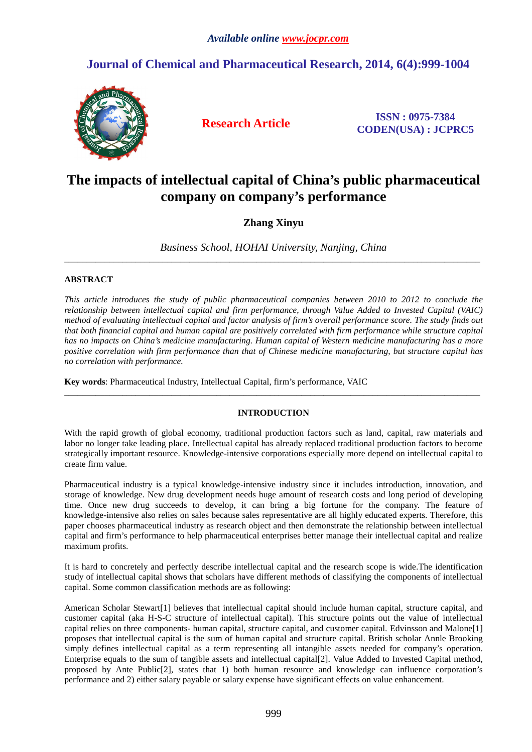# **Journal of Chemical and Pharmaceutical Research, 2014, 6(4):999-1004**



**Research Article ISSN : 0975-7384 CODEN(USA) : JCPRC5**

# **The impacts of intellectual capital of China's public pharmaceutical company on company's performance**

**Zhang Xinyu** 

*Business School, HOHAI University, Nanjing, China*  \_\_\_\_\_\_\_\_\_\_\_\_\_\_\_\_\_\_\_\_\_\_\_\_\_\_\_\_\_\_\_\_\_\_\_\_\_\_\_\_\_\_\_\_\_\_\_\_\_\_\_\_\_\_\_\_\_\_\_\_\_\_\_\_\_\_\_\_\_\_\_\_\_\_\_\_\_\_\_\_\_\_\_\_\_\_\_\_\_\_\_\_\_

# **ABSTRACT**

*This article introduces the study of public pharmaceutical companies between 2010 to 2012 to conclude the relationship between intellectual capital and firm performance, through Value Added to Invested Capital (VAIC) method of evaluating intellectual capital and factor analysis of firm's overall performance score. The study finds out that both financial capital and human capital are positively correlated with firm performance while structure capital has no impacts on China's medicine manufacturing. Human capital of Western medicine manufacturing has a more positive correlation with firm performance than that of Chinese medicine manufacturing, but structure capital has no correlation with performance.* 

**Key words**: Pharmaceutical Industry, Intellectual Capital, firm's performance, VAIC

# **INTRODUCTION**

\_\_\_\_\_\_\_\_\_\_\_\_\_\_\_\_\_\_\_\_\_\_\_\_\_\_\_\_\_\_\_\_\_\_\_\_\_\_\_\_\_\_\_\_\_\_\_\_\_\_\_\_\_\_\_\_\_\_\_\_\_\_\_\_\_\_\_\_\_\_\_\_\_\_\_\_\_\_\_\_\_\_\_\_\_\_\_\_\_\_\_\_\_

With the rapid growth of global economy, traditional production factors such as land, capital, raw materials and labor no longer take leading place. Intellectual capital has already replaced traditional production factors to become strategically important resource. Knowledge-intensive corporations especially more depend on intellectual capital to create firm value.

Pharmaceutical industry is a typical knowledge-intensive industry since it includes introduction, innovation, and storage of knowledge. New drug development needs huge amount of research costs and long period of developing time. Once new drug succeeds to develop, it can bring a big fortune for the company. The feature of knowledge-intensive also relies on sales because sales representative are all highly educated experts. Therefore, this paper chooses pharmaceutical industry as research object and then demonstrate the relationship between intellectual capital and firm's performance to help pharmaceutical enterprises better manage their intellectual capital and realize maximum profits.

It is hard to concretely and perfectly describe intellectual capital and the research scope is wide.The identification study of intellectual capital shows that scholars have different methods of classifying the components of intellectual capital. Some common classification methods are as following:

American Scholar Stewart[1] believes that intellectual capital should include human capital, structure capital, and customer capital (aka H-S-C structure of intellectual capital). This structure points out the value of intellectual capital relies on three components- human capital, structure capital, and customer capital. Edvinsson and Malone[1] proposes that intellectual capital is the sum of human capital and structure capital. British scholar Annle Brooking simply defines intellectual capital as a term representing all intangible assets needed for company's operation. Enterprise equals to the sum of tangible assets and intellectual capital[2]. Value Added to Invested Capital method, proposed by Ante Public[2], states that 1) both human resource and knowledge can influence corporation's performance and 2) either salary payable or salary expense have significant effects on value enhancement.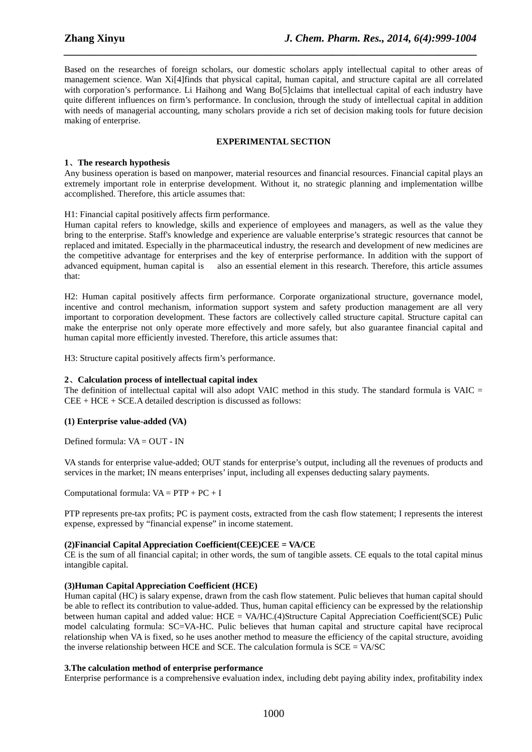Based on the researches of foreign scholars, our domestic scholars apply intellectual capital to other areas of management science. Wan Xi[4]finds that physical capital, human capital, and structure capital are all correlated with corporation's performance. Li Haihong and Wang Bo[5]claims that intellectual capital of each industry have quite different influences on firm's performance. In conclusion, through the study of intellectual capital in addition with needs of managerial accounting, many scholars provide a rich set of decision making tools for future decision making of enterprise.

*\_\_\_\_\_\_\_\_\_\_\_\_\_\_\_\_\_\_\_\_\_\_\_\_\_\_\_\_\_\_\_\_\_\_\_\_\_\_\_\_\_\_\_\_\_\_\_\_\_\_\_\_\_\_\_\_\_\_\_\_\_\_\_\_\_\_\_\_\_\_\_\_\_\_\_\_\_*

# **EXPERIMENTAL SECTION**

#### **1**、**The research hypothesis**

Any business operation is based on manpower, material resources and financial resources. Financial capital plays an extremely important role in enterprise development. Without it, no strategic planning and implementation willbe accomplished. Therefore, this article assumes that:

#### H1: Financial capital positively affects firm performance.

Human capital refers to knowledge, skills and experience of employees and managers, as well as the value they bring to the enterprise. Staff's knowledge and experience are valuable enterprise's strategic resources that cannot be replaced and imitated. Especially in the pharmaceutical industry, the research and development of new medicines are the competitive advantage for enterprises and the key of enterprise performance. In addition with the support of advanced equipment, human capital is also an essential element in this research. Therefore, this article assumes that:

H2: Human capital positively affects firm performance. Corporate organizational structure, governance model, incentive and control mechanism, information support system and safety production management are all very important to corporation development. These factors are collectively called structure capital. Structure capital can make the enterprise not only operate more effectively and more safely, but also guarantee financial capital and human capital more efficiently invested. Therefore, this article assumes that:

H3: Structure capital positively affects firm's performance.

#### **2**、**Calculation process of intellectual capital index**

The definition of intellectual capital will also adopt VAIC method in this study. The standard formula is VAIC  $=$ CEE + HCE + SCE.A detailed description is discussed as follows:

#### **(1) Enterprise value-added (VA)**

Defined formula:  $VA = OUT - IN$ 

VA stands for enterprise value-added; OUT stands for enterprise's output, including all the revenues of products and services in the market; IN means enterprises' input, including all expenses deducting salary payments.

Computational formula:  $VA = PTP + PC + I$ 

PTP represents pre-tax profits; PC is payment costs, extracted from the cash flow statement; I represents the interest expense, expressed by "financial expense" in income statement.

#### **(2)Financial Capital Appreciation Coefficient(CEE)CEE = VA/CE**

CE is the sum of all financial capital; in other words, the sum of tangible assets. CE equals to the total capital minus intangible capital.

#### **(3)Human Capital Appreciation Coefficient (HCE)**

Human capital (HC) is salary expense, drawn from the cash flow statement. Pulic believes that human capital should be able to reflect its contribution to value-added. Thus, human capital efficiency can be expressed by the relationship between human capital and added value: HCE = VA/HC.(4)Structure Capital Appreciation Coefficient(SCE) Pulic model calculating formula: SC=VA-HC. Pulic believes that human capital and structure capital have reciprocal relationship when VA is fixed, so he uses another method to measure the efficiency of the capital structure, avoiding the inverse relationship between HCE and SCE. The calculation formula is  $SCE = VA/SC$ 

#### **3.The calculation method of enterprise performance**

Enterprise performance is a comprehensive evaluation index, including debt paying ability index, profitability index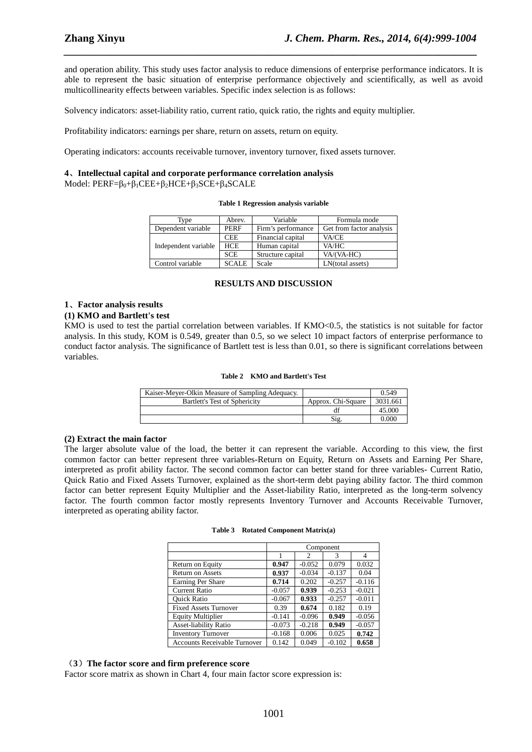and operation ability. This study uses factor analysis to reduce dimensions of enterprise performance indicators. It is able to represent the basic situation of enterprise performance objectively and scientifically, as well as avoid multicollinearity effects between variables. Specific index selection is as follows:

*\_\_\_\_\_\_\_\_\_\_\_\_\_\_\_\_\_\_\_\_\_\_\_\_\_\_\_\_\_\_\_\_\_\_\_\_\_\_\_\_\_\_\_\_\_\_\_\_\_\_\_\_\_\_\_\_\_\_\_\_\_\_\_\_\_\_\_\_\_\_\_\_\_\_\_\_\_*

Solvency indicators: asset-liability ratio, current ratio, quick ratio, the rights and equity multiplier.

Profitability indicators: earnings per share, return on assets, return on equity.

Operating indicators: accounts receivable turnover, inventory turnover, fixed assets turnover.

# **4**、**Intellectual capital and corporate performance correlation analysis**

Model:  $PERF = \beta_0 + \beta_1 CEE + \beta_2 HCE + \beta_3 SCE + \beta_4 SCALE$ 

#### **Table 1 Regression analysis variable**

| Type                 | Abrev.       | Variable           | Formula mode             |
|----------------------|--------------|--------------------|--------------------------|
| Dependent variable   | PERF         | Firm's performance | Get from factor analysis |
|                      | <b>CEE</b>   | Financial capital  | VA/CE                    |
| Independent variable | <b>HCE</b>   | Human capital      | VA/HC                    |
|                      | <b>SCE</b>   | Structure capital  | VA/(VA-HC)               |
| Control variable     | <b>SCALE</b> | Scale              | LN(total assets)         |

#### **RESULTS AND DISCUSSION**

#### **1**、**Factor analysis results**

#### **(1) KMO and Bartlett's test**

KMO is used to test the partial correlation between variables. If KMO<0.5, the statistics is not suitable for factor analysis. In this study, KOM is 0.549, greater than 0.5, so we select 10 impact factors of enterprise performance to conduct factor analysis. The significance of Bartlett test is less than 0.01, so there is significant correlations between variables.

#### **Table 2 KMO and Bartlett's Test**

| Kaiser-Meyer-Olkin Measure of Sampling Adequacy. |                    | 0.549    |
|--------------------------------------------------|--------------------|----------|
| Bartlett's Test of Sphericity                    | Approx. Chi-Square | 3031.661 |
|                                                  |                    | 45.000   |
|                                                  | Sig                | 0.000    |

#### **(2) Extract the main factor**

The larger absolute value of the load, the better it can represent the variable. According to this view, the first common factor can better represent three variables-Return on Equity, Return on Assets and Earning Per Share, interpreted as profit ability factor. The second common factor can better stand for three variables- Current Ratio, Quick Ratio and Fixed Assets Turnover, explained as the short-term debt paying ability factor. The third common factor can better represent Equity Multiplier and the Asset-liability Ratio, interpreted as the long-term solvency factor. The fourth common factor mostly represents Inventory Turnover and Accounts Receivable Turnover, interpreted as operating ability factor.

|                                     | Component |                         |          |          |  |  |
|-------------------------------------|-----------|-------------------------|----------|----------|--|--|
|                                     |           | $\mathcal{L}$<br>3<br>4 |          |          |  |  |
| Return on Equity                    | 0.947     | $-0.052$                | 0.079    | 0.032    |  |  |
| <b>Return on Assets</b>             | 0.937     | $-0.034$                | $-0.137$ | 0.04     |  |  |
| Earning Per Share                   | 0.714     | 0.202                   | $-0.257$ | $-0.116$ |  |  |
| <b>Current Ratio</b>                | $-0.057$  | 0.939                   | $-0.253$ | $-0.021$ |  |  |
| <b>Ouick Ratio</b>                  | $-0.067$  | 0.933                   | $-0.257$ | $-0.011$ |  |  |
| <b>Fixed Assets Turnover</b>        | 0.39      | 0.674                   | 0.182    | 0.19     |  |  |
| <b>Equity Multiplier</b>            | $-0.141$  | $-0.096$                | 0.949    | $-0.056$ |  |  |
| <b>Asset-liability Ratio</b>        | $-0.073$  | $-0.218$                | 0.949    | $-0.057$ |  |  |
| <b>Inventory Turnover</b>           | $-0.168$  | 0.006                   | 0.025    | 0.742    |  |  |
| <b>Accounts Receivable Turnover</b> | 0.142     | 0.049                   | $-0.102$ | 0.658    |  |  |

#### **Table 3 Rotated Component Matrix(a)**

#### (**3**)**The factor score and firm preference score**

Factor score matrix as shown in Chart 4, four main factor score expression is: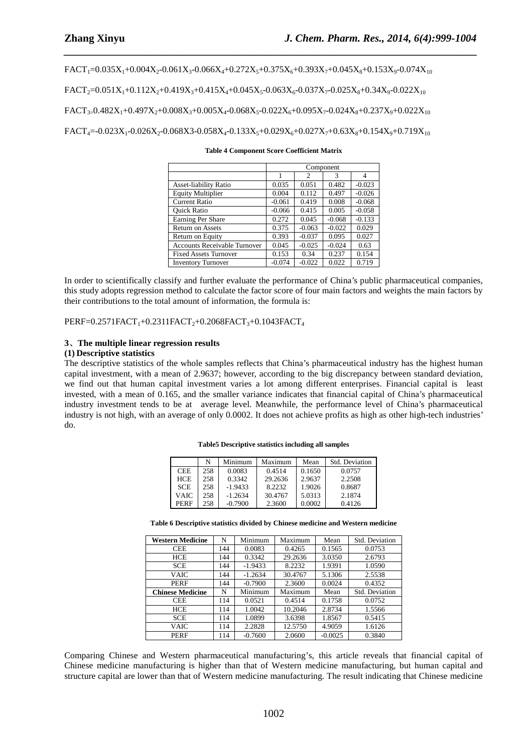$FACT_1=0.035X_1+0.004X_2-0.061X_3-0.066X_4+0.272X_5+0.375X_6+0.393X_7+0.045X_8+0.153X_9-0.074X_{10}$ 

 $FACT_2=0.051X_1+0.112X_2+0.419X_3+0.415X_4+0.045X_5-0.063X_6-0.037X_7-0.025X_8+0.34X_9-0.022X_{10}$ 

 $FACT_{3=}0.482X_1+0.497X_2+0.008X_3+0.005X_4-0.068X_5-0.022X_6+0.095X_7-0.024X_8+0.237X_9+0.022X_{10}$ 

 $FACT_4 = -0.023X_1 - 0.026X_2 - 0.068X3 - 0.058X_4 - 0.133X_5 + 0.029X_6 + 0.027X_7 + 0.63X_8 + 0.154X_9 + 0.719X_{10}$ 

|                                     |          | Component |          |          |  |  |
|-------------------------------------|----------|-----------|----------|----------|--|--|
|                                     |          | 2         | 3        | 4        |  |  |
| Asset-liability Ratio               | 0.035    | 0.051     | 0.482    | $-0.023$ |  |  |
| <b>Equity Multiplier</b>            | 0.004    | 0.112     | 0.497    | $-0.026$ |  |  |
| <b>Current Ratio</b>                | $-0.061$ | 0.419     | 0.008    | $-0.068$ |  |  |
| <b>Ouick Ratio</b>                  | $-0.066$ | 0.415     | 0.005    | $-0.058$ |  |  |
| Earning Per Share                   | 0.272    | 0.045     | $-0.068$ | $-0.133$ |  |  |
| <b>Return on Assets</b>             | 0.375    | $-0.063$  | $-0.022$ | 0.029    |  |  |
| Return on Equity                    | 0.393    | $-0.037$  | 0.095    | 0.027    |  |  |
| <b>Accounts Receivable Turnover</b> | 0.045    | $-0.025$  | $-0.024$ | 0.63     |  |  |
| <b>Fixed Assets Turnover</b>        | 0.153    | 0.34      | 0.237    | 0.154    |  |  |
| <b>Inventory Turnover</b>           | $-0.074$ | $-0.022$  | 0.022    | 0.719    |  |  |

#### **Table 4 Component Score Coefficient Matrix**

*\_\_\_\_\_\_\_\_\_\_\_\_\_\_\_\_\_\_\_\_\_\_\_\_\_\_\_\_\_\_\_\_\_\_\_\_\_\_\_\_\_\_\_\_\_\_\_\_\_\_\_\_\_\_\_\_\_\_\_\_\_\_\_\_\_\_\_\_\_\_\_\_\_\_\_\_\_*

In order to scientifically classify and further evaluate the performance of China's public pharmaceutical companies, this study adopts regression method to calculate the factor score of four main factors and weights the main factors by their contributions to the total amount of information, the formula is:

PERF= $0.2571$ FACT<sub>1</sub>+0.2311FACT<sub>2</sub>+0.2068FACT<sub>3</sub>+0.1043FACT<sub>4</sub>

#### **3**、**The multiple linear regression results (1) Descriptive statistics**

The descriptive statistics of the whole samples reflects that China's pharmaceutical industry has the highest human capital investment, with a mean of 2.9637; however, according to the big discrepancy between standard deviation, we find out that human capital investment varies a lot among different enterprises. Financial capital is least invested, with a mean of 0.165, and the smaller variance indicates that financial capital of China's pharmaceutical industry investment tends to be at average level. Meanwhile, the performance level of China's pharmaceutical industry is not high, with an average of only 0.0002. It does not achieve profits as high as other high-tech industries' do.

| Table5 Descriptive statistics including all samples |  |
|-----------------------------------------------------|--|
|-----------------------------------------------------|--|

|            | N   | Minimum   | Maximum | Mean   | Std. Deviation |
|------------|-----|-----------|---------|--------|----------------|
| <b>CEE</b> | 258 | 0.0083    | 0.4514  | 0.1650 | 0.0757         |
| <b>HCE</b> | 258 | 0.3342    | 29.2636 | 2.9637 | 2.2508         |
| <b>SCE</b> | 258 | $-1.9433$ | 8.2232  | 1.9026 | 0.8687         |
| VAIC       | 258 | $-1.2634$ | 30.4767 | 5.0313 | 2.1874         |
| PERF       | 258 | $-0.7900$ | 2.3600  | 0.0002 | 0.4126         |

**Table 6 Descriptive statistics divided by Chinese medicine and Western medicine** 

| <b>Western Medicine</b> | N   | Minimum   | Maximum | Mean   | Std. Deviation |
|-------------------------|-----|-----------|---------|--------|----------------|
| <b>CEE</b>              | 144 | 0.0083    | 0.4265  | 0.1565 | 0.0753         |
| HCE                     | 144 | 0.3342    | 29.2636 | 3.0350 | 2.6793         |
| <b>SCE</b>              | 144 | $-1.9433$ | 8.2232  | 1.9391 | 1.0590         |
| VAIC                    | 144 | $-1.2634$ | 30.4767 | 5.1306 | 2.5538         |
| <b>PERF</b>             | 144 | $-0.7900$ | 2.3600  | 0.0024 | 0.4352         |
|                         |     |           |         |        |                |
| <b>Chinese Medicine</b> | N   | Minimum   | Maximum | Mean   | Std. Deviation |
| <b>CEE</b>              | 114 | 0.0521    | 0.4514  | 0.1758 | 0.0752         |
| HCE                     | 114 | 1.0042    | 10.2046 | 2.8734 | 1.5566         |
| <b>SCE</b>              | 114 | 1.0899    | 3.6398  | 1.8567 | 0.5415         |
| VAIC                    | 114 | 2.2828    | 12.5750 | 4.9059 | 1.6126         |

Comparing Chinese and Western pharmaceutical manufacturing's, this article reveals that financial capital of Chinese medicine manufacturing is higher than that of Western medicine manufacturing, but human capital and structure capital are lower than that of Western medicine manufacturing. The result indicating that Chinese medicine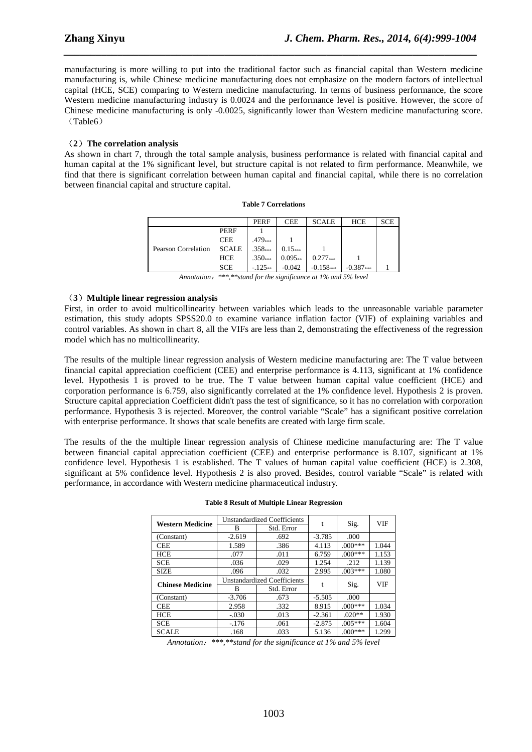manufacturing is more willing to put into the traditional factor such as financial capital than Western medicine manufacturing is, while Chinese medicine manufacturing does not emphasize on the modern factors of intellectual capital (HCE, SCE) comparing to Western medicine manufacturing. In terms of business performance, the score Western medicine manufacturing industry is 0.0024 and the performance level is positive. However, the score of Chinese medicine manufacturing is only -0.0025, significantly lower than Western medicine manufacturing score. (Table6)

*\_\_\_\_\_\_\_\_\_\_\_\_\_\_\_\_\_\_\_\_\_\_\_\_\_\_\_\_\_\_\_\_\_\_\_\_\_\_\_\_\_\_\_\_\_\_\_\_\_\_\_\_\_\_\_\_\_\_\_\_\_\_\_\_\_\_\_\_\_\_\_\_\_\_\_\_\_*

### (**2**)**The correlation analysis**

As shown in chart 7, through the total sample analysis, business performance is related with financial capital and human capital at the 1% significant level, but structure capital is not related to firm performance. Meanwhile, we find that there is significant correlation between human capital and financial capital, while there is no correlation between financial capital and structure capital.

|                            |              | <b>PERF</b> | CEE       | <b>SCALE</b> | <b>HCE</b>  | <b>SCE</b> |
|----------------------------|--------------|-------------|-----------|--------------|-------------|------------|
|                            | <b>PERF</b>  |             |           |              |             |            |
|                            | <b>CEE</b>   | .479***     |           |              |             |            |
| <b>Pearson Correlation</b> | <b>SCALE</b> | $.358***$   | $0.15***$ |              |             |            |
|                            | <b>HCE</b>   | $.350***$   | $0.095**$ | $0.277***$   |             |            |
|                            | SCE          | $-125**$    | $-0.042$  | $-0.158***$  | $-0.387***$ |            |

**Table 7 Correlations** 

*Annotation*:*\*\*\*,\*\*stand for the significance at 1% and 5% level*

#### (**3**)**Multiple linear regression analysis**

First, in order to avoid multicollinearity between variables which leads to the unreasonable variable parameter estimation, this study adopts SPSS20.0 to examine variance inflation factor (VIF) of explaining variables and control variables. As shown in chart 8, all the VIFs are less than 2, demonstrating the effectiveness of the regression model which has no multicollinearity.

The results of the multiple linear regression analysis of Western medicine manufacturing are: The T value between financial capital appreciation coefficient (CEE) and enterprise performance is 4.113, significant at 1% confidence level. Hypothesis 1 is proved to be true. The T value between human capital value coefficient (HCE) and corporation performance is 6.759, also significantly correlated at the 1% confidence level. Hypothesis 2 is proven. Structure capital appreciation Coefficient didn't pass the test of significance, so it has no correlation with corporation performance. Hypothesis 3 is rejected. Moreover, the control variable "Scale" has a significant positive correlation with enterprise performance. It shows that scale benefits are created with large firm scale.

The results of the the multiple linear regression analysis of Chinese medicine manufacturing are: The T value between financial capital appreciation coefficient (CEE) and enterprise performance is 8.107, significant at 1% confidence level. Hypothesis 1 is established. The T values of human capital value coefficient (HCE) is 2.308, significant at 5% confidence level. Hypothesis 2 is also proved. Besides, control variable "Scale" is related with performance, in accordance with Western medicine pharmaceutical industry.

| <b>Western Medicine</b> |          | <b>Unstandardized Coefficients</b> |          |           | VIF        |
|-------------------------|----------|------------------------------------|----------|-----------|------------|
|                         | B        | Std. Error                         |          | Sig.      |            |
| (Constant)              | $-2.619$ | .692                               | $-3.785$ | .000      |            |
| <b>CEE</b>              | 1.589    | .386                               | 4.113    | $.000***$ | 1.044      |
| <b>HCE</b>              | .077     | .011                               | 6.759    | $.000***$ | 1.153      |
| <b>SCE</b>              | .036     | .029                               | 1.254    | .212      | 1.139      |
| <b>SIZE</b>             | .096     | .032                               | 2.995    | $.003***$ | 1.080      |
| <b>Chinese Medicine</b> |          | <b>Unstandardized Coefficients</b> |          |           | <b>VIF</b> |
|                         | R        | Std. Error                         |          | Sig.      |            |
| (Constant)              | $-3.706$ | .673                               | $-5.505$ | .000      |            |
| <b>CEE</b>              | 2.958    | .332                               | 8.915    | $.000***$ | 1.034      |
| HCE                     | $-.030$  | .013                               | $-2.361$ | $.020**$  | 1.930      |
| <b>SCE</b>              | $-.176$  | .061                               | $-2.875$ | $.005***$ | 1.604      |
| <b>SCALE</b>            | .168     | .033                               | 5.136    | $.000***$ | 1.299      |

#### **Table 8 Result of Multiple Linear Regression**

*Annotation*:*\*\*\*,\*\*stand for the significance at 1% and 5% level*